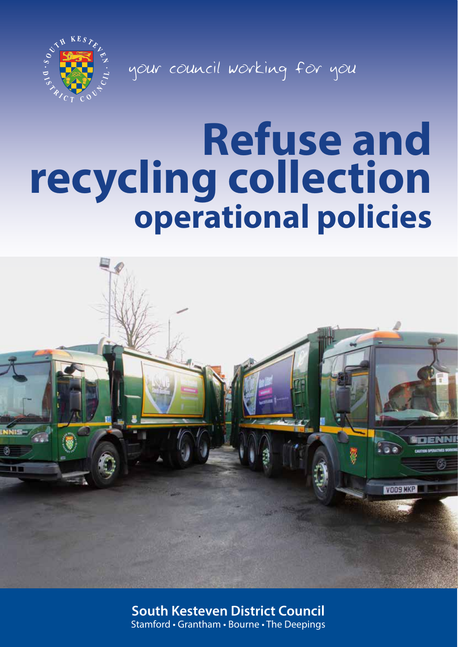

your council working for you

# **Refuse and recycling collection operational policies**



**South Kesteven District Council** Stamford • Grantham • Bourne • The Deepings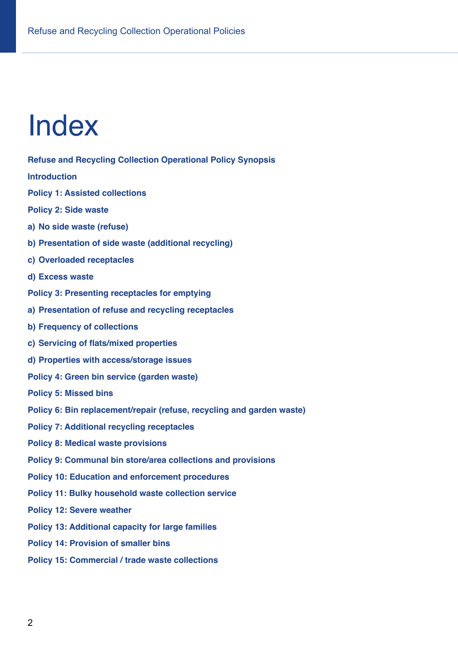## Index

**Refuse and Recycling Collection Operational Policy Synopsis**

**Introduction**

**Policy 1: Assisted collections**

**Policy 2: Side waste**

**a) No side waste (refuse)**

- **b) Presentation of side waste (additional recycling)**
- **c) Overloaded receptacles**
- **d) Excess waste**
- **Policy 3: Presenting receptacles for emptying**
- **a) Presentation of refuse and recycling receptacles**
- **b) Frequency of collections**
- **c) Servicing of flats/mixed properties**
- **d) Properties with access/storage issues**
- **Policy 4: Green bin service (garden waste)**

**Policy 5: Missed bins**

- **Policy 6: Bin replacement/repair (refuse, recycling and garden waste)**
- **Policy 7: Additional recycling receptacles**
- **Policy 8: Medical waste provisions**
- **Policy 9: Communal bin store/area collections and provisions**
- **Policy 10: Education and enforcement procedures**
- **Policy 11: Bulky household waste collection service**
- **Policy 12: Severe weather**
- **Policy 13: Additional capacity for large families**
- **Policy 14: Provision of smaller bins**
- **Policy 15: Commercial / trade waste collections**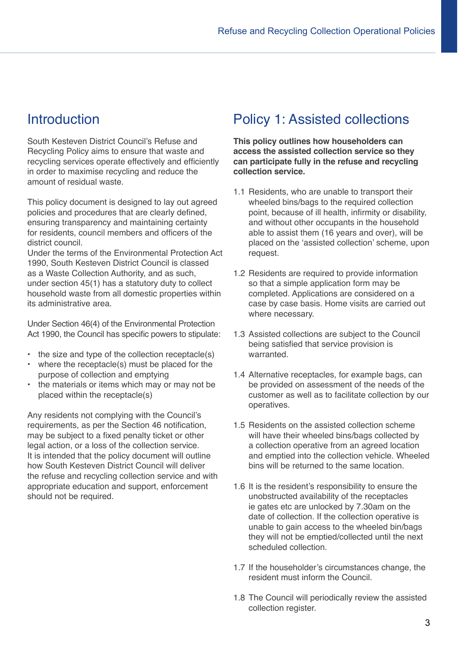## **Introduction**

South Kesteven District Council's Refuse and Recycling Policy aims to ensure that waste and recycling services operate effectively and efficiently in order to maximise recycling and reduce the amount of residual waste.

This policy document is designed to lay out agreed policies and procedures that are clearly defined, ensuring transparency and maintaining certainty for residents, council members and officers of the district council.

Under the terms of the Environmental Protection Act 1990, South Kesteven District Council is classed as a Waste Collection Authority, and as such, under section 45(1) has a statutory duty to collect household waste from all domestic properties within its administrative area.

Under Section 46(4) of the Environmental Protection Act 1990, the Council has specific powers to stipulate:

- the size and type of the collection receptacle(s)
- where the receptacle(s) must be placed for the purpose of collection and emptying
- the materials or items which may or may not be placed within the receptacle(s)

Any residents not complying with the Council's requirements, as per the Section 46 notification, may be subject to a fixed penalty ticket or other legal action, or a loss of the collection service. It is intended that the policy document will outline how South Kesteven District Council will deliver the refuse and recycling collection service and with appropriate education and support, enforcement should not be required.

## Policy 1: Assisted collections

**This policy outlines how householders can access the assisted collection service so they can participate fully in the refuse and recycling collection service.**

- 1.1 Residents, who are unable to transport their wheeled bins/bags to the required collection point, because of ill health, infirmity or disability, and without other occupants in the household able to assist them (16 years and over), will be placed on the 'assisted collection' scheme, upon request.
- 1.2 Residents are required to provide information so that a simple application form may be completed. Applications are considered on a case by case basis. Home visits are carried out where necessary.
- 1.3 Assisted collections are subject to the Council being satisfied that service provision is warranted.
- 1.4 Alternative receptacles, for example bags, can be provided on assessment of the needs of the customer as well as to facilitate collection by our operatives.
- 1.5 Residents on the assisted collection scheme will have their wheeled bins/bags collected by a collection operative from an agreed location and emptied into the collection vehicle. Wheeled bins will be returned to the same location.
- 1.6 It is the resident's responsibility to ensure the unobstructed availability of the receptacles ie gates etc are unlocked by 7.30am on the date of collection. If the collection operative is unable to gain access to the wheeled bin/bags they will not be emptied/collected until the next scheduled collection.
- 1.7 If the householder's circumstances change, the resident must inform the Council.
- 1.8 The Council will periodically review the assisted collection register.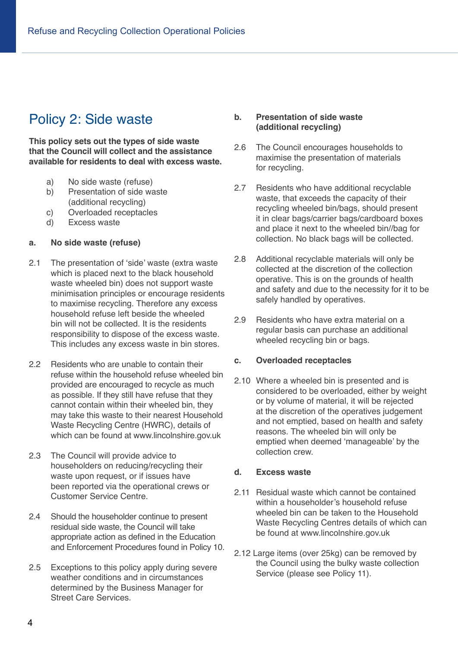## Policy 2: Side waste

**This policy sets out the types of side waste that the Council will collect and the assistance available for residents to deal with excess waste.** 

- a) No side waste (refuse)
- b) Presentation of side waste (additional recycling)
- c) Overloaded receptacles<br>d) Excess waste
- Excess waste

#### **a. No side waste (refuse)**

- 2.1 The presentation of 'side' waste (extra waste which is placed next to the black household waste wheeled bin) does not support waste minimisation principles or encourage residents to maximise recycling. Therefore any excess household refuse left beside the wheeled bin will not be collected. It is the residents responsibility to dispose of the excess waste. This includes any excess waste in bin stores.
- 2.2 Residents who are unable to contain their refuse within the household refuse wheeled bin provided are encouraged to recycle as much as possible. If they still have refuse that they cannot contain within their wheeled bin, they may take this waste to their nearest Household Waste Recycling Centre (HWRC), details of which can be found at www.lincolnshire.gov.uk
- 2.3 The Council will provide advice to householders on reducing/recycling their waste upon request, or if issues have been reported via the operational crews or Customer Service Centre.
- 2.4 Should the householder continue to present residual side waste, the Council will take appropriate action as defined in the Education and Enforcement Procedures found in Policy 10.
- 2.5 Exceptions to this policy apply during severe weather conditions and in circumstances determined by the Business Manager for Street Care Services.

#### **b. Presentation of side waste (additional recycling)**

- 2.6 The Council encourages households to maximise the presentation of materials for recycling.
- 2.7 Residents who have additional recyclable waste, that exceeds the capacity of their recycling wheeled bin/bags, should present it in clear bags/carrier bags/cardboard boxes and place it next to the wheeled bin//bag for collection. No black bags will be collected.
- 2.8 Additional recyclable materials will only be collected at the discretion of the collection operative. This is on the grounds of health and safety and due to the necessity for it to be safely handled by operatives.
- 2.9 Residents who have extra material on a regular basis can purchase an additional wheeled recycling bin or bags.

#### **c. Overloaded receptacles**

2.10 Where a wheeled bin is presented and is considered to be overloaded, either by weight or by volume of material, it will be rejected at the discretion of the operatives judgement and not emptied, based on health and safety reasons. The wheeled bin will only be emptied when deemed 'manageable' by the collection crew.

#### **d. Excess waste**

- 2.11 Residual waste which cannot be contained within a householder's household refuse wheeled bin can be taken to the Household Waste Recycling Centres details of which can be found at www.lincolnshire.gov.uk
- 2.12 Large items (over 25kg) can be removed by the Council using the bulky waste collection Service (please see Policy 11).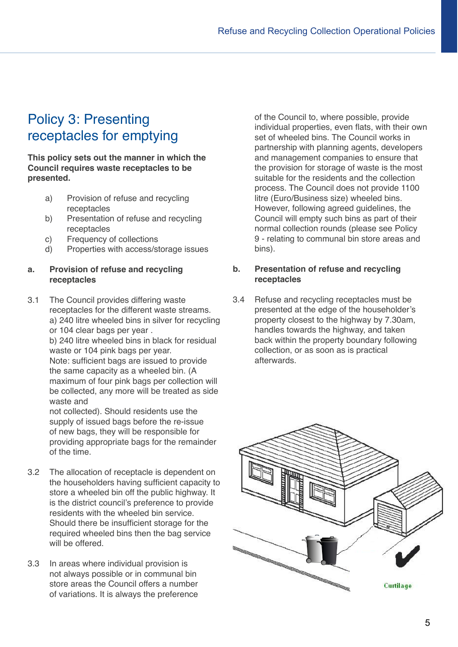## Policy 3: Presenting receptacles for emptying

**This policy sets out the manner in which the Council requires waste receptacles to be presented.** 

- a) Provision of refuse and recycling receptacles
- b) Presentation of refuse and recycling receptacles
- c) Frequency of collections
- d) Properties with access/storage issues

#### **a. Provision of refuse and recycling receptacles**

3.1 The Council provides differing waste receptacles for the different waste streams. a) 240 litre wheeled bins in silver for recycling or 104 clear bags per year .

b) 240 litre wheeled bins in black for residual waste or 104 pink bags per year. Note: sufficient bags are issued to provide

the same capacity as a wheeled bin. (A maximum of four pink bags per collection will be collected, any more will be treated as side waste and

not collected). Should residents use the supply of issued bags before the re-issue of new bags, they will be responsible for providing appropriate bags for the remainder of the time.

- 3.2 The allocation of receptacle is dependent on the householders having sufficient capacity to store a wheeled bin off the public highway. It is the district council's preference to provide residents with the wheeled bin service. Should there be insufficient storage for the required wheeled bins then the bag service will be offered.
- 3.3 In areas where individual provision is not always possible or in communal bin store areas the Council offers a number of variations. It is always the preference

of the Council to, where possible, provide individual properties, even flats, with their own set of wheeled bins. The Council works in partnership with planning agents, developers and management companies to ensure that the provision for storage of waste is the most suitable for the residents and the collection process. The Council does not provide 1100 litre (Euro/Business size) wheeled bins. However, following agreed guidelines, the Council will empty such bins as part of their normal collection rounds (please see Policy 9 - relating to communal bin store areas and bins).

#### **b. Presentation of refuse and recycling receptacles**

3.4 Refuse and recycling receptacles must be presented at the edge of the householder's property closest to the highway by 7.30am, handles towards the highway, and taken back within the property boundary following collection, or as soon as is practical afterwards.

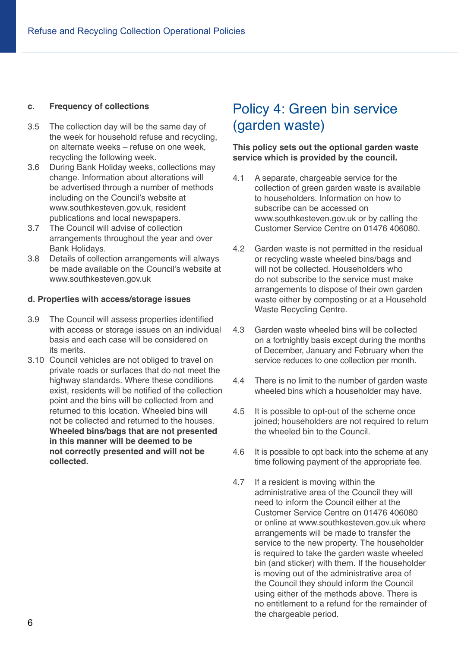#### **c. Frequency of collections**

- 3.5 The collection day will be the same day of the week for household refuse and recycling, on alternate weeks – refuse on one week, recycling the following week.
- 3.6 During Bank Holiday weeks, collections may change. Information about alterations will be advertised through a number of methods including on the Council's website at www.southkesteven.gov.uk, resident publications and local newspapers.
- 3.7 The Council will advise of collection arrangements throughout the year and over Bank Holidays.
- 3.8 Details of collection arrangements will always be made available on the Council's website at www.southkesteven.gov.uk

#### **d. Properties with access/storage issues**

- 3.9 The Council will assess properties identified with access or storage issues on an individual basis and each case will be considered on its merits.
- 3.10 Council vehicles are not obliged to travel on private roads or surfaces that do not meet the highway standards. Where these conditions exist, residents will be notified of the collection point and the bins will be collected from and returned to this location. Wheeled bins will not be collected and returned to the houses. **Wheeled bins/bags that are not presented in this manner will be deemed to be not correctly presented and will not be collected.**

## Policy 4: Green bin service (garden waste)

#### **This policy sets out the optional garden waste service which is provided by the council.**

- 4.1 A separate, chargeable service for the collection of green garden waste is available to householders. Information on how to subscribe can be accessed on www.southkesteven.gov.uk or by calling the Customer Service Centre on 01476 406080.
- 4.2 Garden waste is not permitted in the residual or recycling waste wheeled bins/bags and will not be collected. Householders who do not subscribe to the service must make arrangements to dispose of their own garden waste either by composting or at a Household Waste Recycling Centre.
- 4.3 Garden waste wheeled bins will be collected on a fortnightly basis except during the months of December, January and February when the service reduces to one collection per month.
- 4.4 There is no limit to the number of garden waste wheeled bins which a householder may have.
- 4.5 It is possible to opt-out of the scheme once joined; householders are not required to return the wheeled bin to the Council.
- 4.6 It is possible to opt back into the scheme at any time following payment of the appropriate fee.
- 4.7 If a resident is moving within the administrative area of the Council they will need to inform the Council either at the Customer Service Centre on 01476 406080 or online at www.southkesteven.gov.uk where arrangements will be made to transfer the service to the new property. The householder is required to take the garden waste wheeled bin (and sticker) with them. If the householder is moving out of the administrative area of the Council they should inform the Council using either of the methods above. There is no entitlement to a refund for the remainder of the chargeable period.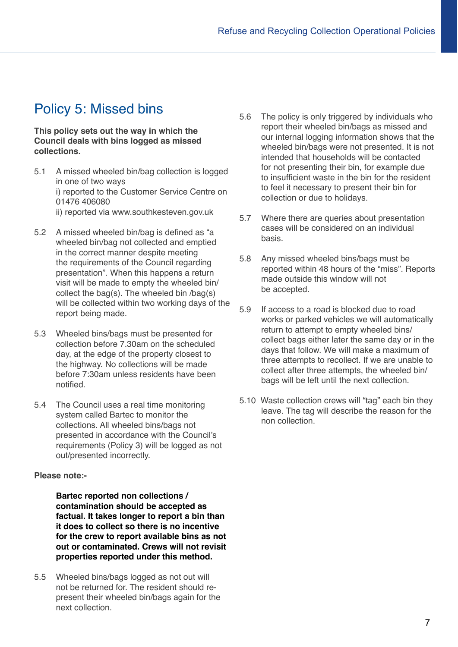## Policy 5: Missed bins

**This policy sets out the way in which the Council deals with bins logged as missed collections.**

- 5.1 A missed wheeled bin/bag collection is logged in one of two ways i) reported to the Customer Service Centre on 01476 406080 ii) reported via www.southkesteven.gov.uk
- 5.2 A missed wheeled bin/bag is defined as "a wheeled bin/bag not collected and emptied in the correct manner despite meeting the requirements of the Council regarding presentation". When this happens a return visit will be made to empty the wheeled bin/ collect the bag(s). The wheeled bin /bag(s) will be collected within two working days of the report being made.
- 5.3 Wheeled bins/bags must be presented for collection before 7.30am on the scheduled day, at the edge of the property closest to the highway. No collections will be made before 7:30am unless residents have been notified.
- 5.4 The Council uses a real time monitoring system called Bartec to monitor the collections. All wheeled bins/bags not presented in accordance with the Council's requirements (Policy 3) will be logged as not out/presented incorrectly.

#### **Please note:-**

**Bartec reported non collections / contamination should be accepted as factual. It takes longer to report a bin than it does to collect so there is no incentive for the crew to report available bins as not out or contaminated. Crews will not revisit properties reported under this method.**

5.5 Wheeled bins/bags logged as not out will not be returned for. The resident should represent their wheeled bin/bags again for the next collection.

- 5.6 The policy is only triggered by individuals who report their wheeled bin/bags as missed and our internal logging information shows that the wheeled bin/bags were not presented. It is not intended that households will be contacted for not presenting their bin, for example due to insufficient waste in the bin for the resident to feel it necessary to present their bin for collection or due to holidays.
- 5.7 Where there are queries about presentation cases will be considered on an individual basis.
- 5.8 Any missed wheeled bins/bags must be reported within 48 hours of the "miss". Reports made outside this window will not be accepted.
- 5.9 If access to a road is blocked due to road works or parked vehicles we will automatically return to attempt to empty wheeled bins/ collect bags either later the same day or in the days that follow. We will make a maximum of three attempts to recollect. If we are unable to collect after three attempts, the wheeled bin/ bags will be left until the next collection.
- 5.10 Waste collection crews will "tag" each bin they leave. The tag will describe the reason for the non collection.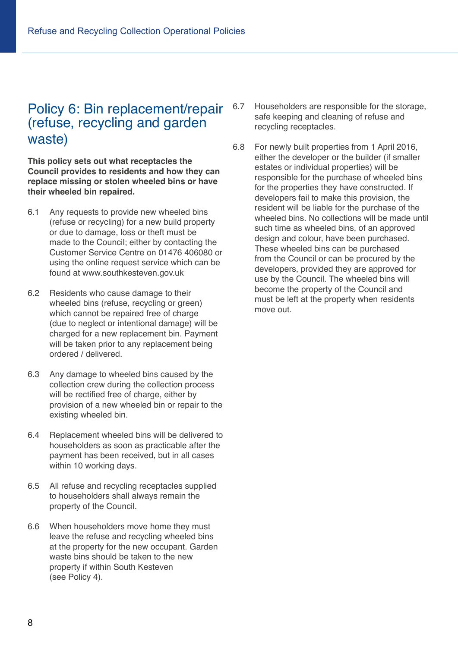## Policy 6: Bin replacement/repair (refuse, recycling and garden waste)

**This policy sets out what receptacles the Council provides to residents and how they can replace missing or stolen wheeled bins or have their wheeled bin repaired.**

- 6.1 Any requests to provide new wheeled bins (refuse or recycling) for a new build property or due to damage, loss or theft must be made to the Council; either by contacting the Customer Service Centre on 01476 406080 or using the online request service which can be found at www.southkesteven.gov.uk
- 6.2 Residents who cause damage to their wheeled bins (refuse, recycling or green) which cannot be repaired free of charge (due to neglect or intentional damage) will be charged for a new replacement bin. Payment will be taken prior to any replacement being ordered / delivered.
- 6.3 Any damage to wheeled bins caused by the collection crew during the collection process will be rectified free of charge, either by provision of a new wheeled bin or repair to the existing wheeled bin.
- 6.4 Replacement wheeled bins will be delivered to householders as soon as practicable after the payment has been received, but in all cases within 10 working days.
- 6.5 All refuse and recycling receptacles supplied to householders shall always remain the property of the Council.
- 6.6 When householders move home they must leave the refuse and recycling wheeled bins at the property for the new occupant. Garden waste bins should be taken to the new property if within South Kesteven (see Policy 4).
- 6.7 Householders are responsible for the storage, safe keeping and cleaning of refuse and recycling receptacles.
- 6.8 For newly built properties from 1 April 2016, either the developer or the builder (if smaller estates or individual properties) will be responsible for the purchase of wheeled bins for the properties they have constructed. If developers fail to make this provision, the resident will be liable for the purchase of the wheeled bins. No collections will be made until such time as wheeled bins, of an approved design and colour, have been purchased. These wheeled bins can be purchased from the Council or can be procured by the developers, provided they are approved for use by the Council. The wheeled bins will become the property of the Council and must be left at the property when residents move out.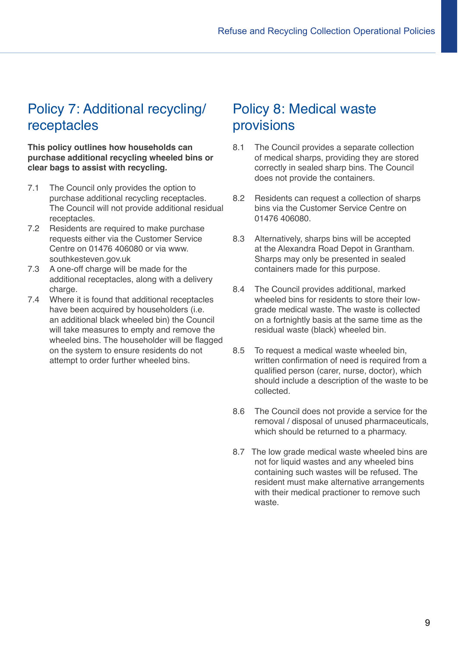## Policy 7: Additional recycling/ receptacles

**This policy outlines how households can purchase additional recycling wheeled bins or clear bags to assist with recycling.**

- 7.1 The Council only provides the option to purchase additional recycling receptacles. The Council will not provide additional residual receptacles.
- 7.2 Residents are required to make purchase requests either via the Customer Service Centre on 01476 406080 or via www. southkesteven.gov.uk
- 7.3 A one-off charge will be made for the additional receptacles, along with a delivery charge.
- 7.4 Where it is found that additional receptacles have been acquired by householders (i.e. an additional black wheeled bin) the Council will take measures to empty and remove the wheeled bins. The householder will be flagged on the system to ensure residents do not attempt to order further wheeled bins.

## Policy 8: Medical waste provisions

- 8.1 The Council provides a separate collection of medical sharps, providing they are stored correctly in sealed sharp bins. The Council does not provide the containers.
- 8.2 Residents can request a collection of sharps bins via the Customer Service Centre on 01476 406080.
- 8.3 Alternatively, sharps bins will be accepted at the Alexandra Road Depot in Grantham. Sharps may only be presented in sealed containers made for this purpose.
- 8.4 The Council provides additional, marked wheeled bins for residents to store their lowgrade medical waste. The waste is collected on a fortnightly basis at the same time as the residual waste (black) wheeled bin.
- 8.5 To request a medical waste wheeled bin, written confirmation of need is required from a qualified person (carer, nurse, doctor), which should include a description of the waste to be collected.
- 8.6 The Council does not provide a service for the removal / disposal of unused pharmaceuticals, which should be returned to a pharmacy.
- 8.7 The low grade medical waste wheeled bins are not for liquid wastes and any wheeled bins containing such wastes will be refused. The resident must make alternative arrangements with their medical practioner to remove such waste.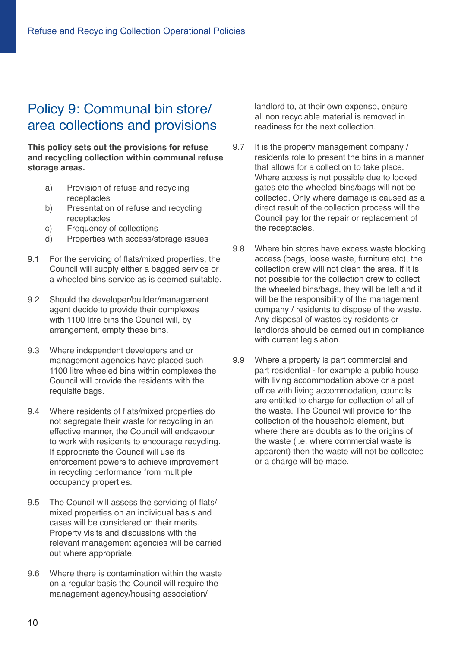## Policy 9: Communal bin store/ area collections and provisions

**This policy sets out the provisions for refuse and recycling collection within communal refuse storage areas.**

- a) Provision of refuse and recycling receptacles
- b) Presentation of refuse and recycling receptacles
- c) Frequency of collections
- d) Properties with access/storage issues
- 9.1 For the servicing of flats/mixed properties, the Council will supply either a bagged service or a wheeled bins service as is deemed suitable.
- 9.2 Should the developer/builder/management agent decide to provide their complexes with 1100 litre bins the Council will, by arrangement, empty these bins.
- 9.3 Where independent developers and or management agencies have placed such 1100 litre wheeled bins within complexes the Council will provide the residents with the requisite bags.
- 9.4 Where residents of flats/mixed properties do not segregate their waste for recycling in an effective manner, the Council will endeavour to work with residents to encourage recycling. If appropriate the Council will use its enforcement powers to achieve improvement in recycling performance from multiple occupancy properties.
- 9.5 The Council will assess the servicing of flats/ mixed properties on an individual basis and cases will be considered on their merits. Property visits and discussions with the relevant management agencies will be carried out where appropriate.
- 9.6 Where there is contamination within the waste on a regular basis the Council will require the management agency/housing association/

landlord to, at their own expense, ensure all non recyclable material is removed in readiness for the next collection.

- 9.7 It is the property management company / residents role to present the bins in a manner that allows for a collection to take place. Where access is not possible due to locked gates etc the wheeled bins/bags will not be collected. Only where damage is caused as a direct result of the collection process will the Council pay for the repair or replacement of the receptacles.
- 9.8 Where bin stores have excess waste blocking access (bags, loose waste, furniture etc), the collection crew will not clean the area. If it is not possible for the collection crew to collect the wheeled bins/bags, they will be left and it will be the responsibility of the management company / residents to dispose of the waste. Any disposal of wastes by residents or landlords should be carried out in compliance with current legislation.
- 9.9 Where a property is part commercial and part residential - for example a public house with living accommodation above or a post office with living accommodation, councils are entitled to charge for collection of all of the waste. The Council will provide for the collection of the household element, but where there are doubts as to the origins of the waste (i.e. where commercial waste is apparent) then the waste will not be collected or a charge will be made.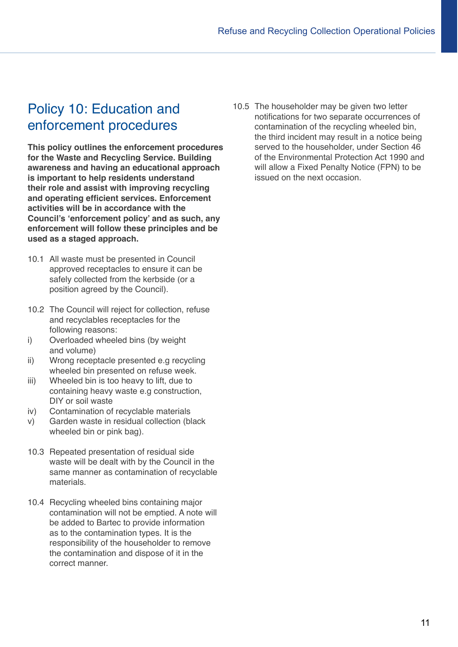## Policy 10: Education and enforcement procedures

**This policy outlines the enforcement procedures for the Waste and Recycling Service. Building awareness and having an educational approach is important to help residents understand their role and assist with improving recycling and operating efficient services. Enforcement activities will be in accordance with the Council's 'enforcement policy' and as such, any enforcement will follow these principles and be used as a staged approach.**

- 10.1 All waste must be presented in Council approved receptacles to ensure it can be safely collected from the kerbside (or a position agreed by the Council).
- 10.2 The Council will reject for collection, refuse and recyclables receptacles for the following reasons:
- i) Overloaded wheeled bins (by weight and volume)
- ii) Wrong receptacle presented e.g recycling wheeled bin presented on refuse week.
- iii) Wheeled bin is too heavy to lift, due to containing heavy waste e.g construction, DIY or soil waste
- iv) Contamination of recyclable materials
- v) Garden waste in residual collection (black wheeled bin or pink bag).
- 10.3 Repeated presentation of residual side waste will be dealt with by the Council in the same manner as contamination of recyclable materials.
- 10.4 Recycling wheeled bins containing major contamination will not be emptied. A note will be added to Bartec to provide information as to the contamination types. It is the responsibility of the householder to remove the contamination and dispose of it in the correct manner.

10.5 The householder may be given two letter notifications for two separate occurrences of contamination of the recycling wheeled bin, the third incident may result in a notice being served to the householder, under Section 46 of the Environmental Protection Act 1990 and will allow a Fixed Penalty Notice (FPN) to be issued on the next occasion.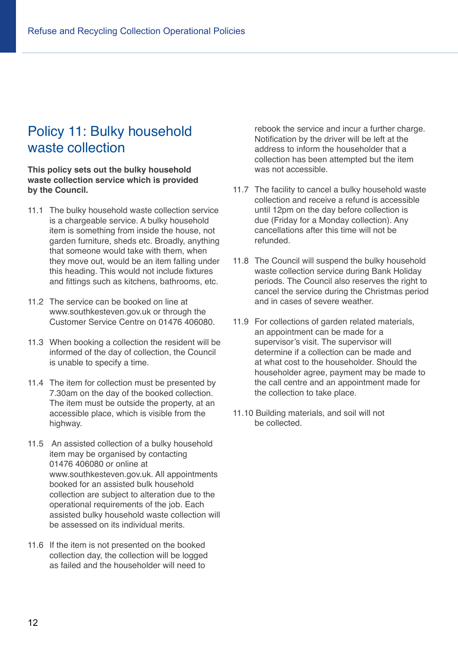## Policy 11: Bulky household waste collection

**This policy sets out the bulky household waste collection service which is provided by the Council.**

- 11.1 The bulky household waste collection service is a chargeable service. A bulky household item is something from inside the house, not garden furniture, sheds etc. Broadly, anything that someone would take with them, when they move out, would be an item falling under this heading. This would not include fixtures and fittings such as kitchens, bathrooms, etc.
- 11.2 The service can be booked on line at www.southkesteven.gov.uk or through the Customer Service Centre on 01476 406080.
- 11.3 When booking a collection the resident will be informed of the day of collection, the Council is unable to specify a time.
- 11.4 The item for collection must be presented by 7.30am on the day of the booked collection. The item must be outside the property, at an accessible place, which is visible from the highway.
- 11.5 An assisted collection of a bulky household item may be organised by contacting 01476 406080 or online at www.southkesteven.gov.uk. All appointments booked for an assisted bulk household collection are subject to alteration due to the operational requirements of the job. Each assisted bulky household waste collection will be assessed on its individual merits.
- 11.6 If the item is not presented on the booked collection day, the collection will be logged as failed and the householder will need to

rebook the service and incur a further charge. Notification by the driver will be left at the address to inform the householder that a collection has been attempted but the item was not accessible.

- 11.7 The facility to cancel a bulky household waste collection and receive a refund is accessible until 12pm on the day before collection is due (Friday for a Monday collection). Any cancellations after this time will not be refunded.
- 11.8 The Council will suspend the bulky household waste collection service during Bank Holiday periods. The Council also reserves the right to cancel the service during the Christmas period and in cases of severe weather.
- 11.9 For collections of garden related materials, an appointment can be made for a supervisor's visit. The supervisor will determine if a collection can be made and at what cost to the householder. Should the householder agree, payment may be made to the call centre and an appointment made for the collection to take place.
- 11.10 Building materials, and soil will not be collected.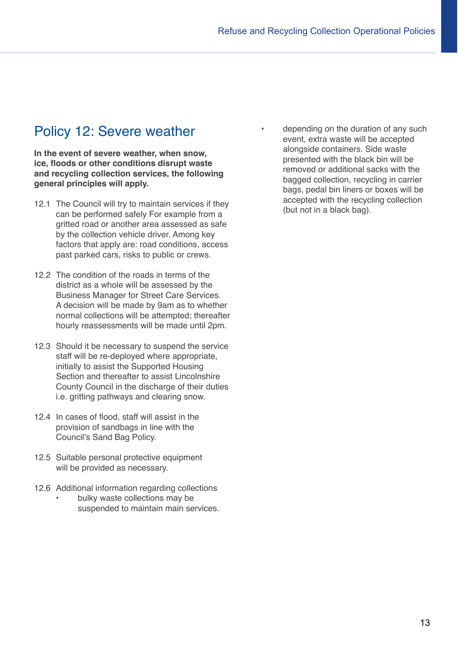## Policy 12: Severe weather

**In the event of severe weather, when snow, ice, floods or other conditions disrupt waste and recycling collection services, the following general principles will apply.**

- 12.1 The Council will try to maintain services if they can be performed safely For example from a gritted road or another area assessed as safe by the collection vehicle driver. Among key factors that apply are: road conditions, access past parked cars, risks to public or crews.
- 12.2 The condition of the roads in terms of the district as a whole will be assessed by the Business Manager for Street Care Services. A decision will be made by 9am as to whether normal collections will be attempted; thereafter hourly reassessments will be made until 2pm.
- 12.3 Should it be necessary to suspend the service staff will be re-deployed where appropriate, initially to assist the Supported Housing Section and thereafter to assist Lincolnshire County Council in the discharge of their duties i.e. gritting pathways and clearing snow.
- 12.4 In cases of flood, staff will assist in the provision of sandbags in line with the Council's Sand Bag Policy.
- 12.5 Suitable personal protective equipment will be provided as necessary.
- 12.6 Additional information regarding collections
	- bulky waste collections may be suspended to maintain main services.

• depending on the duration of any such event, extra waste will be accepted alongside containers. Side waste presented with the black bin will be removed or additional sacks with the bagged collection, recycling in carrier bags, pedal bin liners or boxes will be accepted with the recycling collection (but not in a black bag).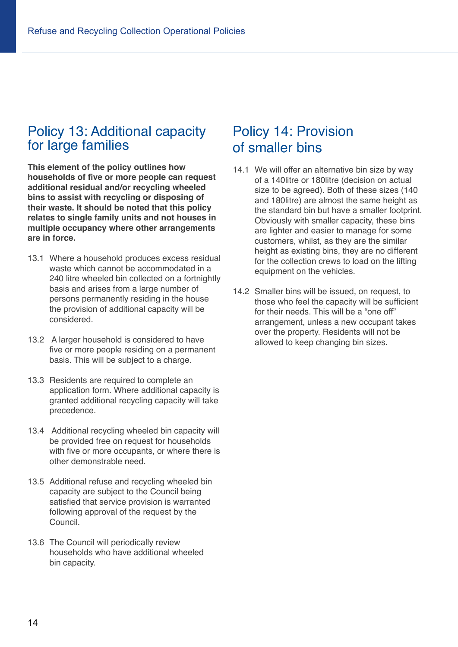## Policy 13: Additional capacity for large families

**This element of the policy outlines how households of five or more people can request additional residual and/or recycling wheeled bins to assist with recycling or disposing of their waste. It should be noted that this policy relates to single family units and not houses in multiple occupancy where other arrangements are in force.**

- 13.1 Where a household produces excess residual waste which cannot be accommodated in a 240 litre wheeled bin collected on a fortnightly basis and arises from a large number of persons permanently residing in the house the provision of additional capacity will be considered.
- 13.2 A larger household is considered to have five or more people residing on a permanent basis. This will be subject to a charge.
- 13.3 Residents are required to complete an application form. Where additional capacity is granted additional recycling capacity will take precedence.
- 13.4 Additional recycling wheeled bin capacity will be provided free on request for households with five or more occupants, or where there is other demonstrable need.
- 13.5 Additional refuse and recycling wheeled bin capacity are subject to the Council being satisfied that service provision is warranted following approval of the request by the Council.
- 13.6 The Council will periodically review households who have additional wheeled bin capacity.

## Policy 14: Provision of smaller bins

- 14.1 We will offer an alternative bin size by way of a 140litre or 180litre (decision on actual size to be agreed). Both of these sizes (140 and 180litre) are almost the same height as the standard bin but have a smaller footprint. Obviously with smaller capacity, these bins are lighter and easier to manage for some customers, whilst, as they are the similar height as existing bins, they are no different for the collection crews to load on the lifting equipment on the vehicles.
- 14.2 Smaller bins will be issued, on request, to those who feel the capacity will be sufficient for their needs. This will be a "one off" arrangement, unless a new occupant takes over the property. Residents will not be allowed to keep changing bin sizes.